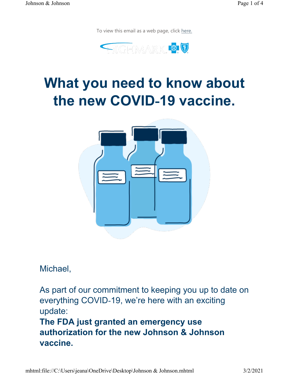To view this email as a web page, click here.



# What you need to know about the new COVID-19 vaccine.



Michael,

As part of our commitment to keeping you up to date on everything COVID-19, we're here with an exciting update: The FDA just granted an emergency use authorization for the new Johnson & Johnson vaccine.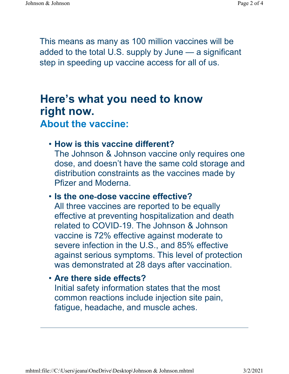This means as many as 100 million vaccines will be added to the total U.S. supply by June — a significant step in speeding up vaccine access for all of us.

### Here's what you need to know right now. About the vaccine:

#### • How is this vaccine different?

The Johnson & Johnson vaccine only requires one dose, and doesn't have the same cold storage and distribution constraints as the vaccines made by Pfizer and Moderna.

#### • Is the one-dose vaccine effective?

All three vaccines are reported to be equally effective at preventing hospitalization and death related to COVID-19. The Johnson & Johnson vaccine is 72% effective against moderate to severe infection in the U.S., and 85% effective against serious symptoms. This level of protection was demonstrated at 28 days after vaccination.

#### • Are there side effects?

Initial safety information states that the most common reactions include injection site pain, fatigue, headache, and muscle aches.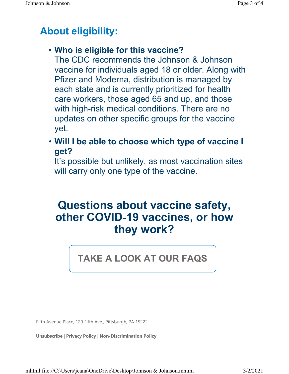### About eligibility:

### • Who is eligible for this vaccine?

The CDC recommends the Johnson & Johnson vaccine for individuals aged 18 or older. Along with Pfizer and Moderna, distribution is managed by each state and is currently prioritized for health care workers, those aged 65 and up, and those with high-risk medical conditions. There are no updates on other specific groups for the vaccine yet.

• Will I be able to choose which type of vaccine I get?

It's possible but unlikely, as most vaccination sites will carry only one type of the vaccine.

## Questions about vaccine safety, other COVID-19 vaccines, or how they work?

### TAKE A LOOK AT OUR FAQS

Fifth Avenue Place, 120 Fifth Ave., Pittsburgh, PA 15222

Unsubscribe | Privacy Policy | Non-Discrimination Policy